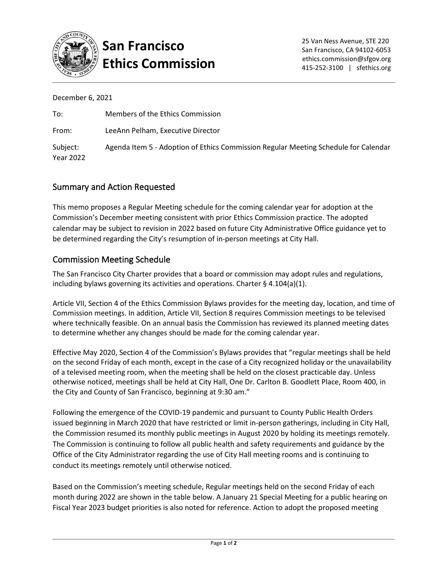

## **San Francisco Ethics Commission**

December 6, 2021

| To:                   | Members of the Ethics Commission                                                    |
|-----------------------|-------------------------------------------------------------------------------------|
| From:                 | LeeAnn Pelham, Executive Director                                                   |
| Subject:<br>Year 2022 | Agenda Item 5 - Adoption of Ethics Commission Regular Meeting Schedule for Calendar |

## Summary and Action Requested

This memo proposes a Regular Meeting schedule for the coming calendar year for adoption at the Commission's December meeting consistent with prior Ethics Commission practice. The adopted calendar may be subject to revision in 2022 based on future City Administrative Office guidance yet to be determined regarding the City's resumption of in-person meetings at City Hall.

## Commission Meeting Schedule

The San Francisco City Charter provides that a board or commission may adopt rules and regulations, including bylaws governing its activities and operations. Charter § 4.104(a)(1).

Article VII, Section 4 of the Ethics Commission Bylaws provides for the meeting day, location, and time of Commission meetings. In addition, Article VII, Section 8 requires Commission meetings to be televised where technically feasible. On an annual basis the Commission has reviewed its planned meeting dates to determine whether any changes should be made for the coming calendar year.

Effective May 2020, Section 4 of the Commission's Bylaws provides that "regular meetings shall be held on the second Friday of each month, except in the case of a City recognized holiday or the unavailability of a televised meeting room, when the meeting shall be held on the closest practicable day. Unless otherwise noticed, meetings shall be held at City Hall, One Dr. Carlton B. Goodlett Place, Room 400, in the City and County of San Francisco, beginning at 9:30 am."

Following the emergence of the COVID-19 pandemic and pursuant to County Public Health Orders issued beginning in March 2020 that have restricted or limit in-person gatherings, including in City Hall, the Commission resumed its monthly public meetings in August 2020 by holding its meetings remotely. The Commission is continuing to follow all public health and safety requirements and guidance by the Office of the City Administrator regarding the use of City Hall meeting rooms and is continuing to conduct its meetings remotely until otherwise noticed.

Based on the Commission's meeting schedule, Regular meetings held on the second Friday of each month during 2022 are shown in the table below. A January 21 Special Meeting for a public hearing on Fiscal Year 2023 budget priorities is also noted for reference. Action to adopt the proposed meeting